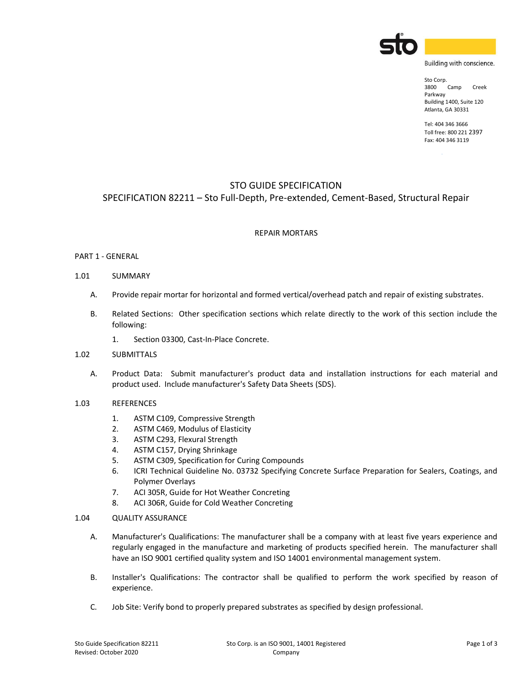

Building with conscience.

Sto Corp. 3800 Camp Creek Parkway Building 1400, Suite 120 Atlanta, GA 30331

Tel: 404 346 3666 Toll free: 800 221 2397 Fax: 404 346 3119

# STO GUIDE SPECIFICATION

## SPECIFICATION 82211 – Sto Full-Depth, Pre-extended, Cement-Based, Structural Repair

## REPAIR MORTARS

## PART 1 - GENERAL

### 1.01 SUMMARY

- A. Provide repair mortar for horizontal and formed vertical/overhead patch and repair of existing substrates.
- B. Related Sections: Other specification sections which relate directly to the work of this section include the following:
	- 1. Section 03300, Cast-In-Place Concrete.

## 1.02 SUBMITTALS

- A. Product Data: Submit manufacturer's product data and installation instructions for each material and product used. Include manufacturer's Safety Data Sheets (SDS).
- 1.03 REFERENCES
	- 1. ASTM C109, Compressive Strength
	- 2. ASTM C469, Modulus of Elasticity
	- 3. ASTM C293, Flexural Strength
	- 4. ASTM C157, Drying Shrinkage
	- 5. ASTM C309, Specification for Curing Compounds
	- 6. ICRI Technical Guideline No. 03732 Specifying Concrete Surface Preparation for Sealers, Coatings, and Polymer Overlays
	- 7. ACI 305R, Guide for Hot Weather Concreting
	- 8. ACI 306R, Guide for Cold Weather Concreting
- 1.04 QUALITY ASSURANCE
	- A. Manufacturer's Qualifications: The manufacturer shall be a company with at least five years experience and regularly engaged in the manufacture and marketing of products specified herein. The manufacturer shall have an ISO 9001 certified quality system and ISO 14001 environmental management system.
	- B. Installer's Qualifications: The contractor shall be qualified to perform the work specified by reason of experience.
	- C. Job Site: Verify bond to properly prepared substrates as specified by design professional.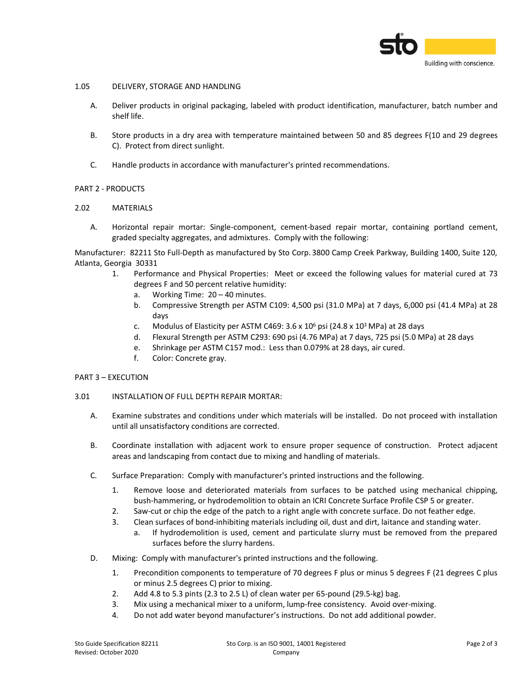

## 1.05 DELIVERY, STORAGE AND HANDLING

- A. Deliver products in original packaging, labeled with product identification, manufacturer, batch number and shelf life.
- B. Store products in a dry area with temperature maintained between 50 and 85 degrees F(10 and 29 degrees C). Protect from direct sunlight.
- C. Handle products in accordance with manufacturer's printed recommendations.

## PART 2 - PRODUCTS

## 2.02 MATERIALS

A. Horizontal repair mortar: Single-component, cement-based repair mortar, containing portland cement, graded specialty aggregates, and admixtures. Comply with the following:

Manufacturer: 82211 Sto Full-Depth as manufactured by Sto Corp. 3800 Camp Creek Parkway, Building 1400, Suite 120, Atlanta, Georgia 30331

- 1. Performance and Physical Properties: Meet or exceed the following values for material cured at 73 degrees F and 50 percent relative humidity:
	- a. Working Time: 20 40 minutes.
	- b. Compressive Strength per ASTM C109: 4,500 psi (31.0 MPa) at 7 days, 6,000 psi (41.4 MPa) at 28 days
	- c. Modulus of Elasticity per ASTM C469:  $3.6 \times 10^6$  psi (24.8 x 10<sup>3</sup> MPa) at 28 days
	- d. Flexural Strength per ASTM C293: 690 psi (4.76 MPa) at 7 days, 725 psi (5.0 MPa) at 28 days
	- e. Shrinkage per ASTM C157 mod.: Less than 0.079% at 28 days, air cured.
	- f. Color: Concrete gray.

### PART 3 – EXECUTION

### 3.01 INSTALLATION OF FULL DEPTH REPAIR MORTAR:

- A. Examine substrates and conditions under which materials will be installed. Do not proceed with installation until all unsatisfactory conditions are corrected.
- B. Coordinate installation with adjacent work to ensure proper sequence of construction. Protect adjacent areas and landscaping from contact due to mixing and handling of materials.
- C. Surface Preparation: Comply with manufacturer's printed instructions and the following.
	- 1. Remove loose and deteriorated materials from surfaces to be patched using mechanical chipping, bush-hammering, or hydrodemolition to obtain an ICRI Concrete Surface Profile CSP 5 or greater.
	- 2. Saw-cut or chip the edge of the patch to a right angle with concrete surface. Do not feather edge.
	- 3. Clean surfaces of bond-inhibiting materials including oil, dust and dirt, laitance and standing water.
		- a. If hydrodemolition is used, cement and particulate slurry must be removed from the prepared surfaces before the slurry hardens.
- D. Mixing: Comply with manufacturer's printed instructions and the following.
	- 1. Precondition components to temperature of 70 degrees F plus or minus 5 degrees F (21 degrees C plus or minus 2.5 degrees C) prior to mixing.
	- 2. Add 4.8 to 5.3 pints (2.3 to 2.5 L) of clean water per 65-pound (29.5-kg) bag.
	- 3. Mix using a mechanical mixer to a uniform, lump-free consistency. Avoid over-mixing.
	- 4. Do not add water beyond manufacturer's instructions. Do not add additional powder.